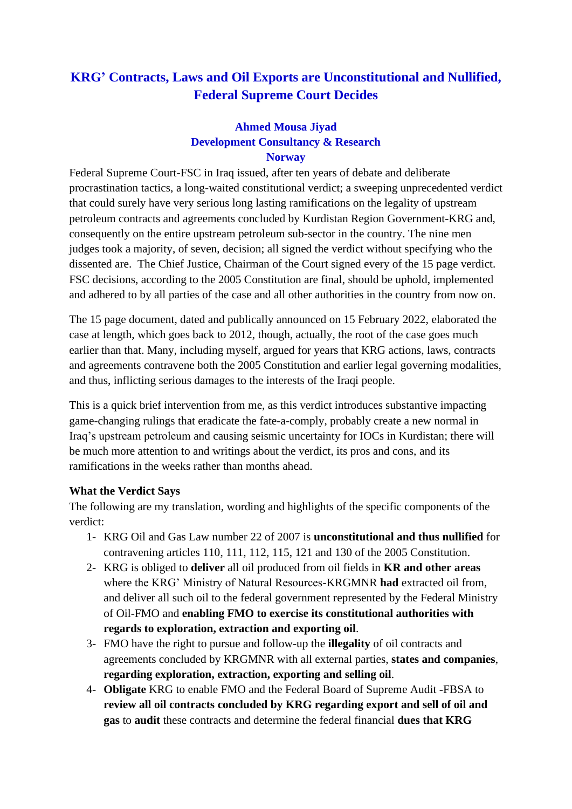# **KRG' Contracts, Laws and Oil Exports are Unconstitutional and Nullified, Federal Supreme Court Decides**

### **Ahmed Mousa Jiyad Development Consultancy & Research Norway**

Federal Supreme Court-FSC in Iraq issued, after ten years of debate and deliberate procrastination tactics, a long-waited constitutional verdict; a sweeping unprecedented verdict that could surely have very serious long lasting ramifications on the legality of upstream petroleum contracts and agreements concluded by Kurdistan Region Government-KRG and, consequently on the entire upstream petroleum sub-sector in the country. The nine men judges took a majority, of seven, decision; all signed the verdict without specifying who the dissented are. The Chief Justice, Chairman of the Court signed every of the 15 page verdict. FSC decisions, according to the 2005 Constitution are final, should be uphold, implemented and adhered to by all parties of the case and all other authorities in the country from now on.

The 15 page document, dated and publically announced on 15 February 2022, elaborated the case at length, which goes back to 2012, though, actually, the root of the case goes much earlier than that. Many, including myself, argued for years that KRG actions, laws, contracts and agreements contravene both the 2005 Constitution and earlier legal governing modalities, and thus, inflicting serious damages to the interests of the Iraqi people.

This is a quick brief intervention from me, as this verdict introduces substantive impacting game-changing rulings that eradicate the fate-a-comply, probably create a new normal in Iraq's upstream petroleum and causing seismic uncertainty for IOCs in Kurdistan; there will be much more attention to and writings about the verdict, its pros and cons, and its ramifications in the weeks rather than months ahead.

### **What the Verdict Says**

The following are my translation, wording and highlights of the specific components of the verdict:

- 1- KRG Oil and Gas Law number 22 of 2007 is **unconstitutional and thus nullified** for contravening articles 110, 111, 112, 115, 121 and 130 of the 2005 Constitution.
- 2- KRG is obliged to **deliver** all oil produced from oil fields in **KR and other areas** where the KRG' Ministry of Natural Resources-KRGMNR **had** extracted oil from, and deliver all such oil to the federal government represented by the Federal Ministry of Oil-FMO and **enabling FMO to exercise its constitutional authorities with regards to exploration, extraction and exporting oil**.
- 3- FMO have the right to pursue and follow-up the **illegality** of oil contracts and agreements concluded by KRGMNR with all external parties, **states and companies**, **regarding exploration, extraction, exporting and selling oil**.
- 4- **Obligate** KRG to enable FMO and the Federal Board of Supreme Audit -FBSA to **review all oil contracts concluded by KRG regarding export and sell of oil and gas** to **audit** these contracts and determine the federal financial **dues that KRG**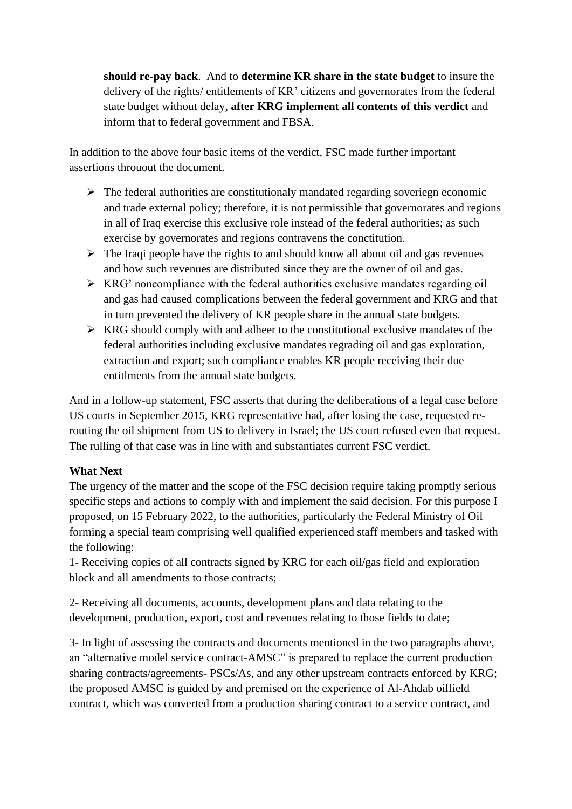**should re-pay back**. And to **determine KR share in the state budget** to insure the delivery of the rights/ entitlements of KR' citizens and governorates from the federal state budget without delay, **after KRG implement all contents of this verdict** and inform that to federal government and FBSA.

In addition to the above four basic items of the verdict, FSC made further important assertions throuout the document.

- $\triangleright$  The federal authorities are constitutionaly mandated regarding soveriegn economic and trade external policy; therefore, it is not permissible that governorates and regions in all of Iraq exercise this exclusive role instead of the federal authorities; as such exercise by governorates and regions contravens the conctitution.
- $\triangleright$  The Iraqi people have the rights to and should know all about oil and gas revenues and how such revenues are distributed since they are the owner of oil and gas.
- ➢ KRG' noncompliance with the federal authorities exclusive mandates regarding oil and gas had caused complications between the federal government and KRG and that in turn prevented the delivery of KR people share in the annual state budgets.
- $\triangleright$  KRG should comply with and adheer to the constitutional exclusive mandates of the federal authorities including exclusive mandates regrading oil and gas exploration, extraction and export; such compliance enables KR people receiving their due entitlments from the annual state budgets.

And in a follow-up statement, FSC asserts that during the deliberations of a legal case before US courts in September 2015, KRG representative had, after losing the case, requested rerouting the oil shipment from US to delivery in Israel; the US court refused even that request. The rulling of that case was in line with and substantiates current FSC verdict.

## **What Next**

The urgency of the matter and the scope of the FSC decision require taking promptly serious specific steps and actions to comply with and implement the said decision. For this purpose I proposed, on 15 February 2022, to the authorities, particularly the Federal Ministry of Oil forming a special team comprising well qualified experienced staff members and tasked with the following:

1- Receiving copies of all contracts signed by KRG for each oil/gas field and exploration block and all amendments to those contracts;

2- Receiving all documents, accounts, development plans and data relating to the development, production, export, cost and revenues relating to those fields to date;

3- In light of assessing the contracts and documents mentioned in the two paragraphs above, an "alternative model service contract-AMSC" is prepared to replace the current production sharing contracts/agreements- PSCs/As, and any other upstream contracts enforced by KRG; the proposed AMSC is guided by and premised on the experience of Al-Ahdab oilfield contract, which was converted from a production sharing contract to a service contract, and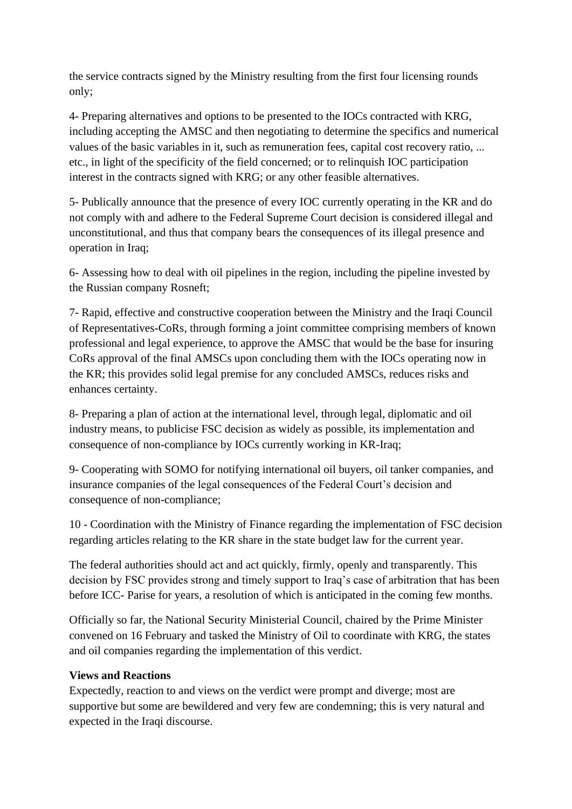the service contracts signed by the Ministry resulting from the first four licensing rounds only;

4- Preparing alternatives and options to be presented to the IOCs contracted with KRG, including accepting the AMSC and then negotiating to determine the specifics and numerical values of the basic variables in it, such as remuneration fees, capital cost recovery ratio, ... etc., in light of the specificity of the field concerned; or to relinquish IOC participation interest in the contracts signed with KRG; or any other feasible alternatives.

5- Publically announce that the presence of every IOC currently operating in the KR and do not comply with and adhere to the Federal Supreme Court decision is considered illegal and unconstitutional, and thus that company bears the consequences of its illegal presence and operation in Iraq;

6- Assessing how to deal with oil pipelines in the region, including the pipeline invested by the Russian company Rosneft;

7- Rapid, effective and constructive cooperation between the Ministry and the Iraqi Council of Representatives-CoRs, through forming a joint committee comprising members of known professional and legal experience, to approve the AMSC that would be the base for insuring CoRs approval of the final AMSCs upon concluding them with the IOCs operating now in the KR; this provides solid legal premise for any concluded AMSCs, reduces risks and enhances certainty.

8- Preparing a plan of action at the international level, through legal, diplomatic and oil industry means, to publicise FSC decision as widely as possible, its implementation and consequence of non-compliance by IOCs currently working in KR-Iraq;

9- Cooperating with SOMO for notifying international oil buyers, oil tanker companies, and insurance companies of the legal consequences of the Federal Court's decision and consequence of non-compliance;

10 - Coordination with the Ministry of Finance regarding the implementation of FSC decision regarding articles relating to the KR share in the state budget law for the current year.

The federal authorities should act and act quickly, firmly, openly and transparently. This decision by FSC provides strong and timely support to Iraq's case of arbitration that has been before ICC- Parise for years, a resolution of which is anticipated in the coming few months.

Officially so far, the National Security Ministerial Council, chaired by the Prime Minister convened on 16 February and tasked the Ministry of Oil to coordinate with KRG, the states and oil companies regarding the implementation of this verdict.

### **Views and Reactions**

Expectedly, reaction to and views on the verdict were prompt and diverge; most are supportive but some are bewildered and very few are condemning; this is very natural and expected in the Iraqi discourse.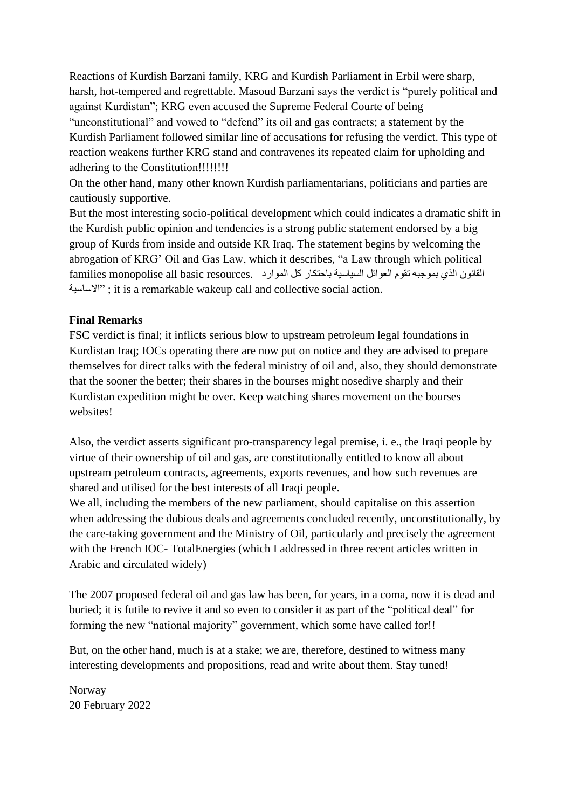Reactions of Kurdish Barzani family, KRG and Kurdish Parliament in Erbil were sharp, harsh, hot-tempered and regrettable. Masoud Barzani says the verdict is "purely political and against Kurdistan"; KRG even accused the Supreme Federal Courte of being "unconstitutional" and vowed to "defend" its oil and gas contracts; a statement by the Kurdish Parliament followed similar line of accusations for refusing the verdict. This type of reaction weakens further KRG stand and contravenes its repeated claim for upholding and adhering to the Constitution!!!!!!!!!

On the other hand, many other known Kurdish parliamentarians, politicians and parties are cautiously supportive.

But the most interesting socio-political development which could indicates a dramatic shift in the Kurdish public opinion and tendencies is a strong public statement endorsed by a big group of Kurds from inside and outside KR Iraq. The statement begins by welcoming the abrogation of KRG' Oil and Gas Law, which it describes, "a Law through which political القانون الذي بموجبه تقوم العوائل السياسية باحتكار كل الموارد .resources basic all monopolise families االساسية ; "it is a remarkable wakeup call and collective social action.

#### **Final Remarks**

FSC verdict is final; it inflicts serious blow to upstream petroleum legal foundations in Kurdistan Iraq; IOCs operating there are now put on notice and they are advised to prepare themselves for direct talks with the federal ministry of oil and, also, they should demonstrate that the sooner the better; their shares in the bourses might nosedive sharply and their Kurdistan expedition might be over. Keep watching shares movement on the bourses websites!

Also, the verdict asserts significant pro-transparency legal premise, i. e., the Iraqi people by virtue of their ownership of oil and gas, are constitutionally entitled to know all about upstream petroleum contracts, agreements, exports revenues, and how such revenues are shared and utilised for the best interests of all Iraqi people.

We all, including the members of the new parliament, should capitalise on this assertion when addressing the dubious deals and agreements concluded recently, unconstitutionally, by the care-taking government and the Ministry of Oil, particularly and precisely the agreement with the French IOC- TotalEnergies (which I addressed in three recent articles written in Arabic and circulated widely)

The 2007 proposed federal oil and gas law has been, for years, in a coma, now it is dead and buried; it is futile to revive it and so even to consider it as part of the "political deal" for forming the new "national majority" government, which some have called for!!

But, on the other hand, much is at a stake; we are, therefore, destined to witness many interesting developments and propositions, read and write about them. Stay tuned!

Norway 20 February 2022